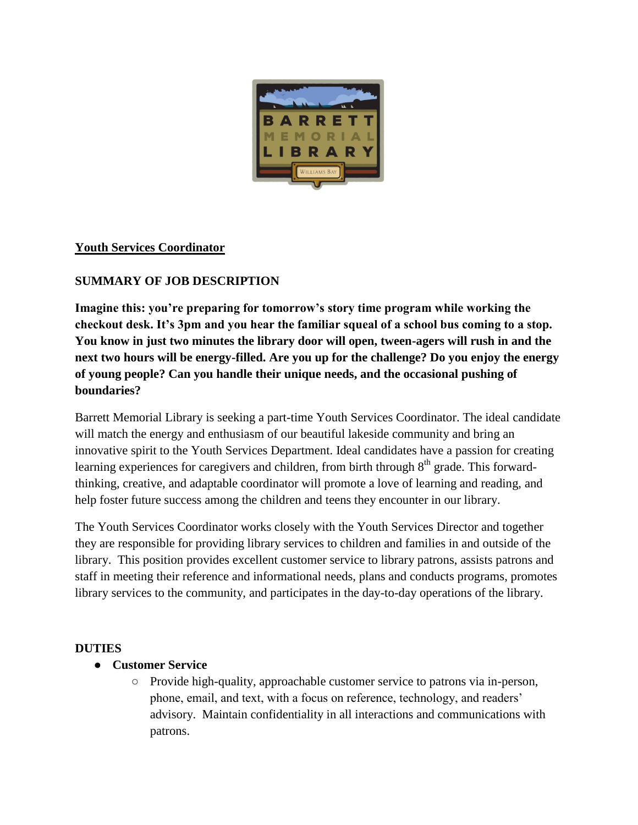

### **Youth Services Coordinator**

### **SUMMARY OF JOB DESCRIPTION**

**Imagine this: you're preparing for tomorrow's story time program while working the checkout desk. It's 3pm and you hear the familiar squeal of a school bus coming to a stop. You know in just two minutes the library door will open, tween-agers will rush in and the next two hours will be energy-filled. Are you up for the challenge? Do you enjoy the energy of young people? Can you handle their unique needs, and the occasional pushing of boundaries?** 

Barrett Memorial Library is seeking a part-time Youth Services Coordinator. The ideal candidate will match the energy and enthusiasm of our beautiful lakeside community and bring an innovative spirit to the Youth Services Department. Ideal candidates have a passion for creating learning experiences for caregivers and children, from birth through  $8<sup>th</sup>$  grade. This forwardthinking, creative, and adaptable coordinator will promote a love of learning and reading, and help foster future success among the children and teens they encounter in our library.

The Youth Services Coordinator works closely with the Youth Services Director and together they are responsible for providing library services to children and families in and outside of the library. This position provides excellent customer service to library patrons, assists patrons and staff in meeting their reference and informational needs, plans and conducts programs, promotes library services to the community, and participates in the day-to-day operations of the library.

### **DUTIES**

### ● **Customer Service**

○ Provide high-quality, approachable customer service to patrons via in-person, phone, email, and text, with a focus on reference, technology, and readers' advisory. Maintain confidentiality in all interactions and communications with patrons.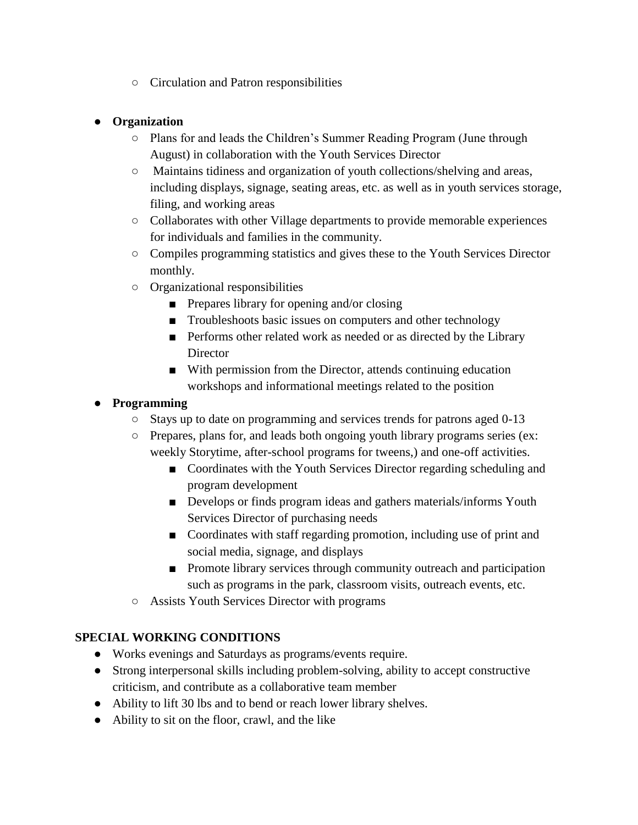○ Circulation and Patron responsibilities

### ● **Organization**

- Plans for and leads the Children's Summer Reading Program (June through August) in collaboration with the Youth Services Director
- Maintains tidiness and organization of youth collections/shelving and areas, including displays, signage, seating areas, etc. as well as in youth services storage, filing, and working areas
- Collaborates with other Village departments to provide memorable experiences for individuals and families in the community.
- Compiles programming statistics and gives these to the Youth Services Director monthly.
- Organizational responsibilities
	- Prepares library for opening and/or closing
	- Troubleshoots basic issues on computers and other technology
	- Performs other related work as needed or as directed by the Library **Director**
	- With permission from the Director, attends continuing education workshops and informational meetings related to the position

### ● **Programming**

- Stays up to date on programming and services trends for patrons aged 0-13
- Prepares, plans for, and leads both ongoing youth library programs series (ex: weekly Storytime, after-school programs for tweens,) and one-off activities.
	- Coordinates with the Youth Services Director regarding scheduling and program development
	- Develops or finds program ideas and gathers materials/informs Youth Services Director of purchasing needs
	- Coordinates with staff regarding promotion, including use of print and social media, signage, and displays
	- Promote library services through community outreach and participation such as programs in the park, classroom visits, outreach events, etc.
- Assists Youth Services Director with programs

# **SPECIAL WORKING CONDITIONS**

- Works evenings and Saturdays as programs/events require.
- Strong interpersonal skills including problem-solving, ability to accept constructive criticism, and contribute as a collaborative team member
- Ability to lift 30 lbs and to bend or reach lower library shelves.
- Ability to sit on the floor, crawl, and the like